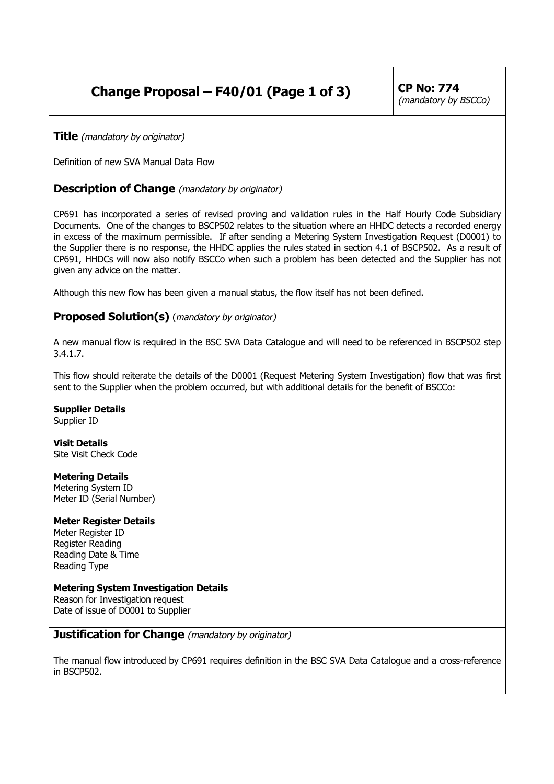# **Change Proposal – F40/01 (Page 1 of 3)** CP No: 774

(mandatory by BSCCo)

**Title** (mandatory by originator)

Definition of new SVA Manual Data Flow

# **Description of Change** (mandatory by originator)

CP691 has incorporated a series of revised proving and validation rules in the Half Hourly Code Subsidiary Documents. One of the changes to BSCP502 relates to the situation where an HHDC detects a recorded energy in excess of the maximum permissible. If after sending a Metering System Investigation Request (D0001) to the Supplier there is no response, the HHDC applies the rules stated in section 4.1 of BSCP502. As a result of CP691, HHDCs will now also notify BSCCo when such a problem has been detected and the Supplier has not given any advice on the matter.

Although this new flow has been given a manual status, the flow itself has not been defined.

# **Proposed Solution(s)** (mandatory by originator)

A new manual flow is required in the BSC SVA Data Catalogue and will need to be referenced in BSCP502 step 3.4.1.7.

This flow should reiterate the details of the D0001 (Request Metering System Investigation) flow that was first sent to the Supplier when the problem occurred, but with additional details for the benefit of BSCCo:

**Supplier Details**

Supplier ID

**Visit Details** Site Visit Check Code

**Metering Details**

Metering System ID Meter ID (Serial Number)

### **Meter Register Details**

Meter Register ID Register Reading Reading Date & Time Reading Type

### **Metering System Investigation Details**

Reason for Investigation request Date of issue of D0001 to Supplier

**Justification for Change** (mandatory by originator)

The manual flow introduced by CP691 requires definition in the BSC SVA Data Catalogue and a cross-reference in BSCP502.